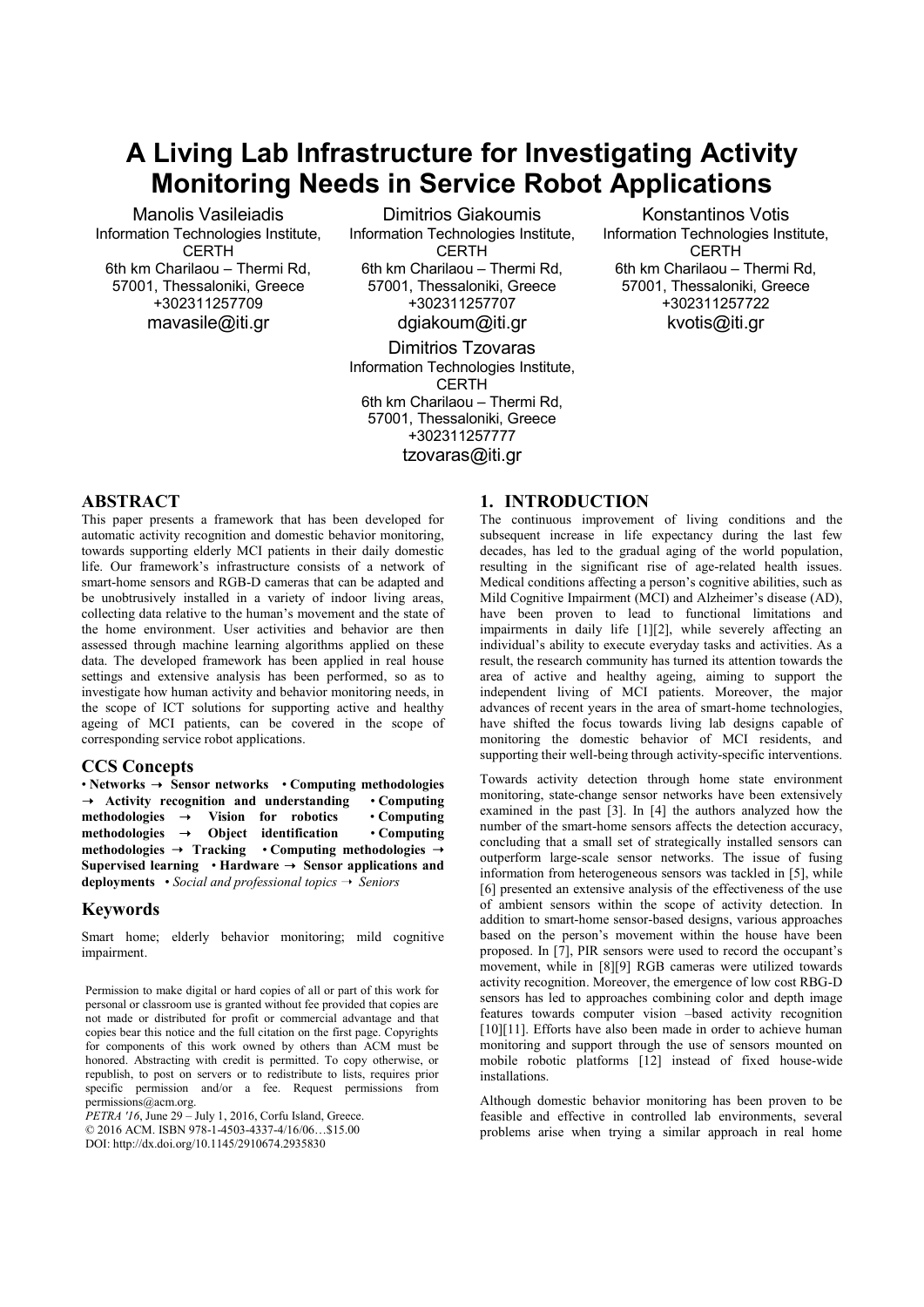# **A Living Lab Infrastructure for Investigating Activity Monitoring Needs in Service Robot Applications**

Manolis Vasileiadis Information Technologies Institute, **CERTH** 6th km Charilaou – Thermi Rd, 57001, Thessaloniki, Greece +302311257709 mavasile@iti.gr

Dimitrios Giakoumis Information Technologies Institute, **CERTH** 6th km Charilaou – Thermi Rd, 57001, Thessaloniki, Greece +302311257707 dgiakoum@iti.gr

Dimitrios Tzovaras Information Technologies Institute, **CERTH** 6th km Charilaou – Thermi Rd, 57001, Thessaloniki, Greece +302311257777

tzovaras@iti.gr

Konstantinos Votis Information Technologies Institute, **CERTH** 6th km Charilaou – Thermi Rd, 57001, Thessaloniki, Greece +302311257722 kvotis@iti.gr

## **ABSTRACT**

This paper presents a framework that has been developed for automatic activity recognition and domestic behavior monitoring, towards supporting elderly MCI patients in their daily domestic life. Our framework's infrastructure consists of a network of smart-home sensors and RGB-D cameras that can be adapted and be unobtrusively installed in a variety of indoor living areas, collecting data relative to the human's movement and the state of the home environment. User activities and behavior are then assessed through machine learning algorithms applied on these data. The developed framework has been applied in real house settings and extensive analysis has been performed, so as to investigate how human activity and behavior monitoring needs, in the scope of ICT solutions for supporting active and healthy ageing of MCI patients, can be covered in the scope of corresponding service robot applications.

#### **CCS Concepts**

• **Networks ➝ Sensor networks** • **Computing methodologies ➝ Activity recognition and understanding** • **Computing methodologies ➝ Vision for robotics** • **Computing methodologies ➝ Object identification** • **Computing**  $\text{methodologies} \rightarrow \text{Tracking} \rightarrow \text{Computing methodologies} \rightarrow \text{}$ **Supervised learning** • **Hardware ➝ Sensor applications and deployments** • *Social and professional topics* ➝ *Seniors*

### **Keywords**

Smart home; elderly behavior monitoring; mild cognitive impairment.

Permission to make digital or hard copies of all or part of this work for personal or classroom use is granted without fee provided that copies are not made or distributed for profit or commercial advantage and that copies bear this notice and the full citation on the first page. Copyrights for components of this work owned by others than ACM must be honored. Abstracting with credit is permitted. To copy otherwise, or republish, to post on servers or to redistribute to lists, requires prior specific permission and/or a fee. Request permissions from permissions@acm.org.

*PETRA '16*, June 29 – July 1, 2016, Corfu Island, Greece. © 2016 ACM. ISBN 978-1-4503-4337-4/16/06…\$15.00 DOI: http://dx.doi.org/10.1145/2910674.2935830

# **1. INTRODUCTION**

The continuous improvement of living conditions and the subsequent increase in life expectancy during the last few decades, has led to the gradual aging of the world population, resulting in the significant rise of age-related health issues. Medical conditions affecting a person's cognitive abilities, such as Mild Cognitive Impairment (MCI) and Alzheimer's disease (AD), have been proven to lead to functional limitations and impairments in daily life [1][2], while severely affecting an individual's ability to execute everyday tasks and activities. As a result, the research community has turned its attention towards the area of active and healthy ageing, aiming to support the independent living of MCI patients. Moreover, the major advances of recent years in the area of smart-home technologies, have shifted the focus towards living lab designs capable of monitoring the domestic behavior of MCI residents, and supporting their well-being through activity-specific interventions.

Towards activity detection through home state environment monitoring, state-change sensor networks have been extensively examined in the past [3]. In [4] the authors analyzed how the number of the smart-home sensors affects the detection accuracy, concluding that a small set of strategically installed sensors can outperform large-scale sensor networks. The issue of fusing information from heterogeneous sensors was tackled in [5], while [6] presented an extensive analysis of the effectiveness of the use of ambient sensors within the scope of activity detection. In addition to smart-home sensor-based designs, various approaches based on the person's movement within the house have been proposed. In [7], PIR sensors were used to record the occupant's movement, while in [8][9] RGB cameras were utilized towards activity recognition. Moreover, the emergence of low cost RBG-D sensors has led to approaches combining color and depth image features towards computer vision –based activity recognition [10][11]. Efforts have also been made in order to achieve human monitoring and support through the use of sensors mounted on mobile robotic platforms [12] instead of fixed house-wide installations.

Although domestic behavior monitoring has been proven to be feasible and effective in controlled lab environments, several problems arise when trying a similar approach in real home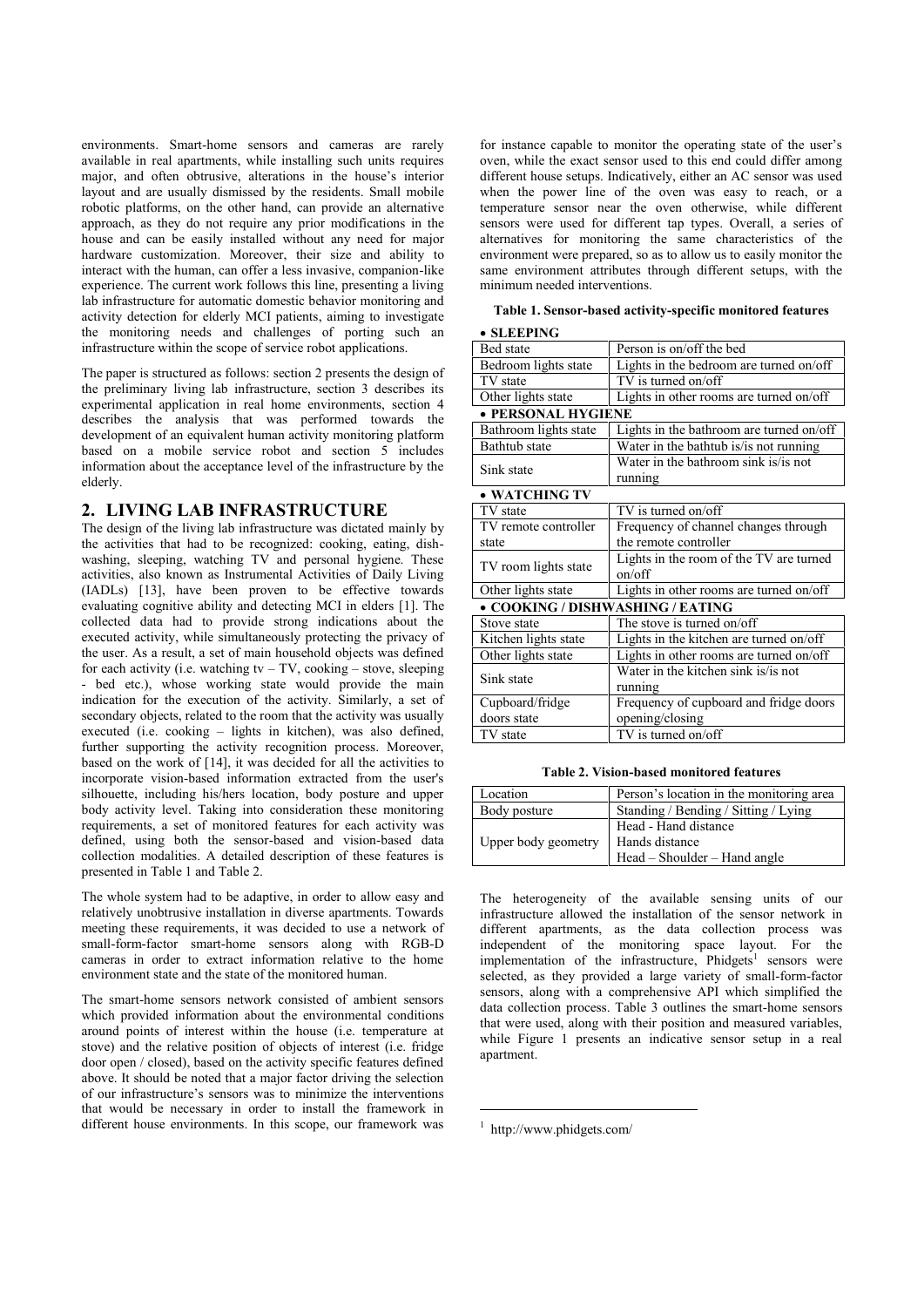environments. Smart-home sensors and cameras are rarely available in real apartments, while installing such units requires major, and often obtrusive, alterations in the house's interior layout and are usually dismissed by the residents. Small mobile robotic platforms, on the other hand, can provide an alternative approach, as they do not require any prior modifications in the house and can be easily installed without any need for major hardware customization. Moreover, their size and ability to interact with the human, can offer a less invasive, companion-like experience. The current work follows this line, presenting a living lab infrastructure for automatic domestic behavior monitoring and activity detection for elderly MCI patients, aiming to investigate the monitoring needs and challenges of porting such an infrastructure within the scope of service robot applications.

The paper is structured as follows: section 2 presents the design of the preliminary living lab infrastructure, section 3 describes its experimental application in real home environments, section 4 describes the analysis that was performed towards the development of an equivalent human activity monitoring platform based on a mobile service robot and section 5 includes information about the acceptance level of the infrastructure by the elderly.

## **2. LIVING LAB INFRASTRUCTURE**

The design of the living lab infrastructure was dictated mainly by the activities that had to be recognized: cooking, eating, dish washing, sleeping, watching TV and personal hygiene. These activities, also known as Instrumental Activities of Daily Living (IADLs) [13], have been proven to be effective towards evaluating cognitive ability and detecting MCI in elders [1]. The collected data had to provide strong indications about the executed activity, while simultaneously protecting the privacy of the user. As a result, a set of main household objects was defined for each activity (i.e. watching tv – TV, cooking – stove, sleeping - bed etc.), whose working state would provide the main indication for the execution of the activity. Similarly, a set of secondary objects, related to the room that the activity was usually executed (i.e. cooking – lights in kitchen), was also defined, further supporting the activity recognition process. Moreover, based on the work of [14], it was decided for all the activities to incorporate vision-based information extracted from the user's silhouette, including his/hers location, body posture and upper body activity level. Taking into consideration these monitoring requirements, a set of monitored features for each activity was defined, using both the sensor-based and vision-based data collection modalities. A detailed description of these features is presented in Table 1 and Table 2.

The whole system had to be adaptive, in order to allow easy and relatively unobtrusive installation in diverse apartments. Towards meeting these requirements, it was decided to use a network of small-form-factor smart-home sensors along with RGB-D cameras in order to extract information relative to the home environment state and the state of the monitored human.

The smart-home sensors network consisted of ambient sensors which provided information about the environmental conditions around points of interest within the house (i.e. temperature at stove) and the relative position of objects of interest (i.e. fridge door open / closed), based on the activity specific features defined above. It should be noted that a major factor driving the selection of our infrastructure's sensors was to minimize the interventions that would be necessary in order to install the framework in different house environments. In this scope, our framework was

for instance capable to monitor the operating state of the user's oven, while the exact sensor used to this end could differ among different house setups. Indicatively, either an AC sensor was used when the power line of the oven was easy to reach, or a temperature sensor near the oven otherwise, while different sensors were used for different tap types. Overall, a series of alternatives for monitoring the same characteristics of the environment were prepared, so as to allow us to easily monitor the same environment attributes through different setups, with the minimum needed interventions.

|  | Table 1. Sensor-based activity-specific monitored features |
|--|------------------------------------------------------------|
|--|------------------------------------------------------------|

| • SLEEPING                       |                                                   |  |
|----------------------------------|---------------------------------------------------|--|
| <b>Bed</b> state                 | Person is on/off the bed                          |  |
| Bedroom lights state             | Lights in the bedroom are turned on/off           |  |
| TV state                         | TV is turned on/off                               |  |
| Other lights state               | Lights in other rooms are turned on/off           |  |
| • PERSONAL HYGIENE               |                                                   |  |
| Bathroom lights state            | Lights in the bathroom are turned on/off          |  |
| Bathtub state                    | Water in the bathtub is/is not running            |  |
| Sink state                       | Water in the bathroom sink is/is not              |  |
|                                  | running                                           |  |
| • WATCHING TV                    |                                                   |  |
| TV state                         | $TV$ is turned on/off                             |  |
| TV remote controller             | Frequency of channel changes through              |  |
| state                            | the remote controller                             |  |
| TV room lights state             | Lights in the room of the TV are turned<br>on/off |  |
| Other lights state               | Lights in other rooms are turned on/off           |  |
| • COOKING / DISHWASHING / EATING |                                                   |  |
| Stove state                      | The stove is turned on/off                        |  |
| Kitchen lights state             | Lights in the kitchen are turned on/off           |  |
| Other lights state               | Lights in other rooms are turned on/off           |  |
| Sink state                       | Water in the kitchen sink is/is not               |  |
|                                  | running                                           |  |
| Cupboard/fridge                  | Frequency of cupboard and fridge doors            |  |
| doors state                      | opening/closing                                   |  |
| TV state                         | TV is turned on/off                               |  |

**Table 2. Vision-based monitored features**

| Location            | Person's location in the monitoring area |  |
|---------------------|------------------------------------------|--|
| Body posture        | Standing / Bending / Sitting / Lying     |  |
| Upper body geometry | Head - Hand distance                     |  |
|                     | Hands distance                           |  |
|                     | Head – Shoulder – Hand angle             |  |

The heterogeneity of the available sensing units of our infrastructure allowed the installation of the sensor network in different apartments, as the data collection process was independent of the monitoring space layout. For the implementation of the infrastructure,  $Phidgets<sup>1</sup>$  sensors were selected, as they provided a large variety of small-form-factor sensors, along with a comprehensive API which simplified the data collection process. Table 3 outlines the smart-home sensors that were used, along with their position and measured variables, while Figure 1 presents an indicative sensor setup in a real apartment.

<sup>1</sup> http://www.phidgets.com/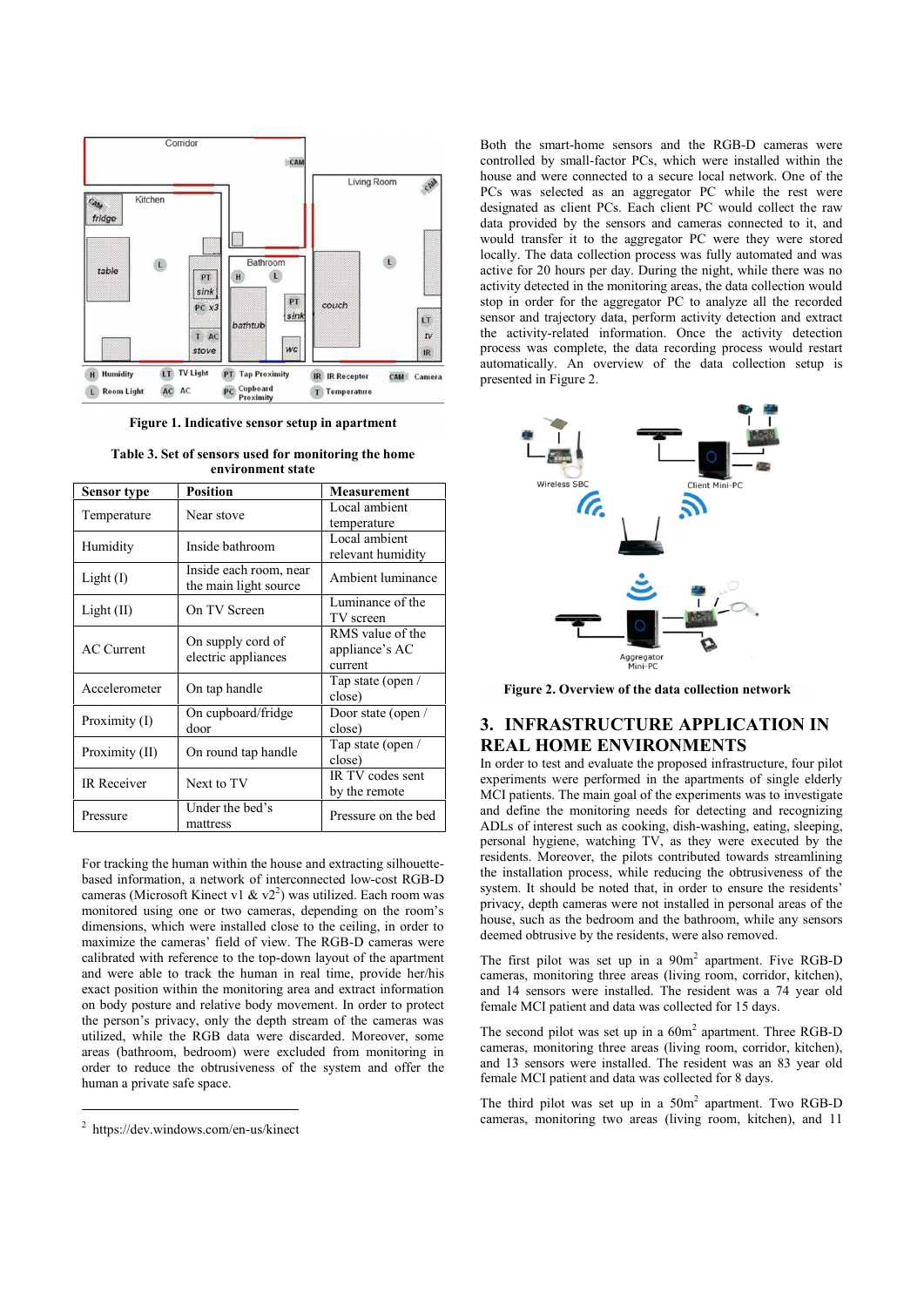

**Figure 1. Indicative sensor setup in apartment**

| Sensor type        | <b>Position</b>                          | <b>Measurement</b>  |
|--------------------|------------------------------------------|---------------------|
| Temperature        | Near stove                               | Local ambient       |
|                    |                                          | temperature         |
| Humidity           | Inside bathroom                          | Local ambient       |
|                    |                                          | relevant humidity   |
| Light (I)          | Inside each room, near                   | Ambient luminance   |
|                    | the main light source                    |                     |
| Light (II)         | On TV Screen                             | Luminance of the    |
|                    |                                          | TV screen           |
| <b>AC</b> Current  | On supply cord of<br>electric appliances | RMS value of the    |
|                    |                                          | appliance's AC      |
|                    |                                          | current             |
| Accelerometer      | On tap handle                            | Tap state (open /   |
|                    |                                          | close)              |
| Proximity (I)      | On cupboard/fridge                       | Door state (open /  |
|                    | door                                     | close)              |
| Proximity (II)     | On round tap handle                      | Tap state (open /   |
|                    |                                          | close)              |
| <b>IR</b> Receiver | Next to TV                               | IR TV codes sent    |
|                    |                                          | by the remote       |
| Pressure           | Under the bed's                          | Pressure on the bed |
|                    | mattress                                 |                     |

**Table 3. Set of sensors used for monitoring the home environment state**

For tracking the human within the house and extracting silhouette based information, a network of interconnected low-cost RGB-D cameras (Microsoft Kinect v1 & v2<sup>2</sup>) was utilized. Each room was monitored using one or two cameras, depending on the room's dimensions, which were installed close to the ceiling, in order to maximize the cameras' field of view. The RGB-D cameras were calibrated with reference to the top-down layout of the apartment and were able to track the human in real time, provide her/his exact position within the monitoring area and extract information on body posture and relative body movement. In order to protect the person's privacy, only the depth stream of the cameras was utilized, while the RGB data were discarded. Moreover, some areas (bathroom, bedroom) were excluded from monitoring in order to reduce the obtrusiveness of the system and offer the human a private safe space.

Both the smart-home sensors and the RGB-D cameras were controlled by small-factor PCs, which were installed within the house and were connected to a secure local network. One of the PCs was selected as an aggregator PC while the rest were designated as client PCs. Each client PC would collect the raw data provided by the sensors and cameras connected to it, and would transfer it to the aggregator PC were they were stored locally. The data collection process was fully automated and was active for 20 hours per day. During the night, while there was no activity detected in the monitoring areas, the data collection would stop in order for the aggregator PC to analyze all the recorded sensor and trajectory data, perform activity detection and extract the activity-related information. Once the activity detection process was complete, the data recording process would restart automatically. An overview of the data collection setup is presented in Figure 2.



**Figure 2. Overview of the data collection network**

# **3. INFRASTRUCTURE APPLICATION IN REAL HOME ENVIRONMENTS**

In order to test and evaluate the proposed infrastructure, four pilot experiments were performed in the apartments of single elderly MCI patients. The main goal of the experiments was to investigate and define the monitoring needs for detecting and recognizing ADLs of interest such as cooking, dish-washing, eating, sleeping, personal hygiene, watching TV, as they were executed by the residents. Moreover, the pilots contributed towards streamlining the installation process, while reducing the obtrusiveness of the system. It should be noted that, in order to ensure the residents' privacy, depth cameras were not installed in personal areas of the house, such as the bedroom and the bathroom, while any sensors deemed obtrusive by the residents, were also removed.

The first pilot was set up in a  $90m^2$  apartment. Five RGB-D cameras, monitoring three areas (living room, corridor, kitchen), and 14 sensors were installed. The resident was a 74 year old female MCI patient and data was collected for 15 days.

The second pilot was set up in a  $60m<sup>2</sup>$  apartment. Three RGB-D cameras, monitoring three areas (living room, corridor, kitchen), and 13 sensors were installed. The resident was an 83 year old female MCI patient and data was collected for 8 days.

The third pilot was set up in a  $50m<sup>2</sup>$  apartment. Two RGB-D cameras, monitoring two areas (living room, kitchen), and 11

<sup>2</sup> https://dev.windows.com/en-us/kinect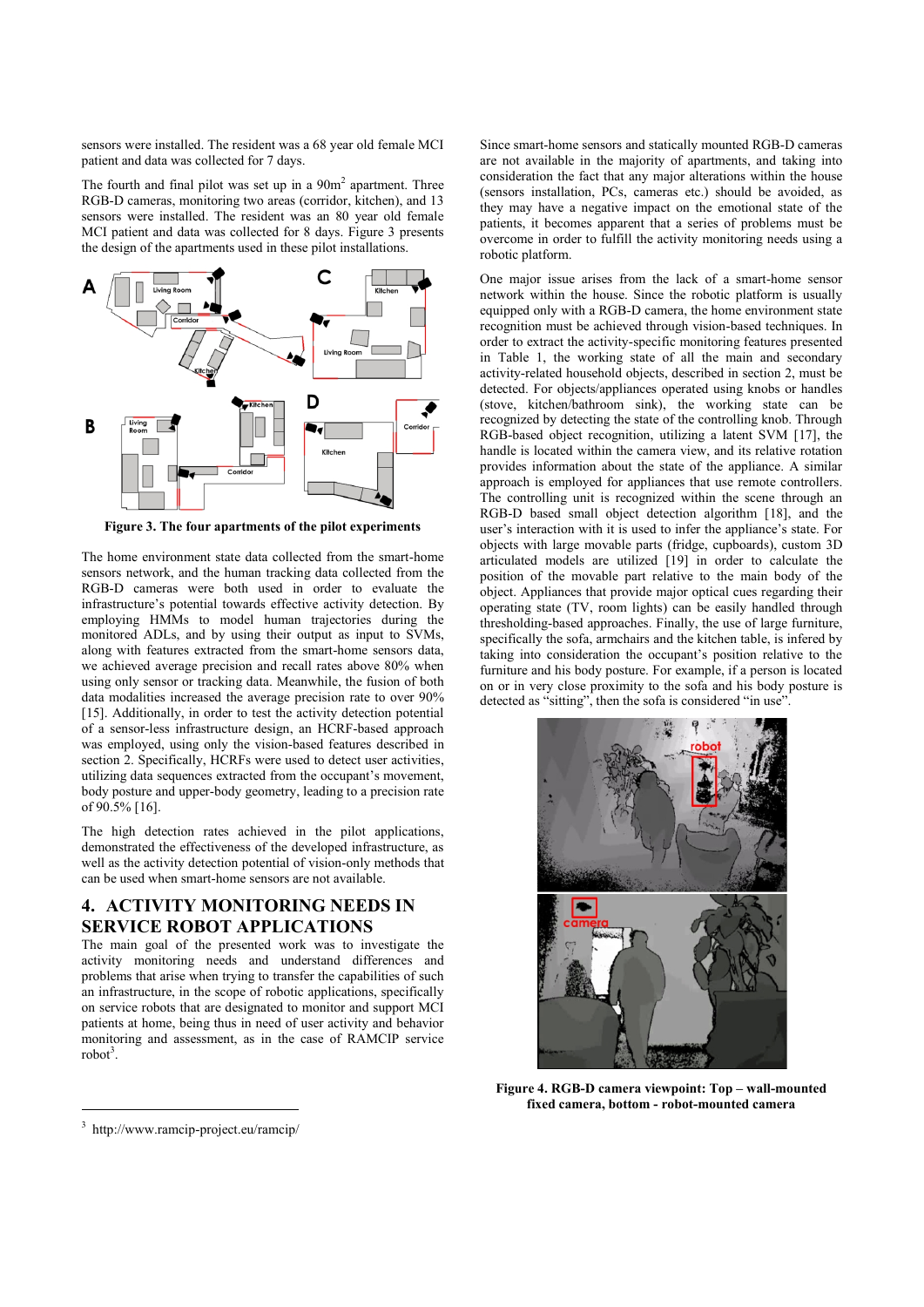sensors were installed. The resident was a 68 year old female MCI patient and data was collected for 7 days.

The fourth and final pilot was set up in a  $90m^2$  apartment. Three RGB-D cameras, monitoring two areas (corridor, kitchen), and 13 sensors were installed. The resident was an 80 year old female MCI patient and data was collected for 8 days. Figure 3 presents the design of the apartments used in these pilot installations.



**Figure 3. The four apartments of the pilot experiments**

The home environment state data collected from the smart-home sensors network, and the human tracking data collected from the RGB-D cameras were both used in order to evaluate the infrastructure's potential towards effective activity detection. By employing HMMs to model human trajectories during the monitored ADLs, and by using their output as input to SVMs, along with features extracted from the smart-home sensors data, we achieved average precision and recall rates above 80% when using only sensor or tracking data. Meanwhile, the fusion of both data modalities increased the average precision rate to over 90% [15]. Additionally, in order to test the activity detection potential of a sensor-less infrastructure design, an HCRF-based approach was employed, using only the vision-based features described in section 2. Specifically, HCRFs were used to detect user activities, utilizing data sequences extracted from the occupant's movement, body posture and upper-body geometry, leading to a precision rate of 90.5% [16].

The high detection rates achieved in the pilot applications, demonstrated the effectiveness of the developed infrastructure, as well as the activity detection potential of vision-only methods that can be used when smart-home sensors are not available.

# **4. ACTIVITY MONITORING NEEDS IN SERVICE ROBOT APPLICATIONS**

The main goal of the presented work was to investigate the activity monitoring needs and understand differences and problems that arise when trying to transfer the capabilities of such an infrastructure, in the scope of robotic applications, specifically on service robots that are designated to monitor and support MCI patients at home, being thus in need of user activity and behavior monitoring and assessment, as in the case of RAMCIP service  $robot<sup>3</sup>$ .

Since smart-home sensors and statically mounted RGB-D cameras are not available in the majority of apartments, and taking into consideration the fact that any major alterations within the house (sensors installation, PCs, cameras etc.) should be avoided, as they may have a negative impact on the emotional state of the patients, it becomes apparent that a series of problems must be overcome in order to fulfill the activity monitoring needs using a robotic platform.

One major issue arises from the lack of a smart-home sensor network within the house. Since the robotic platform is usually equipped only with a RGB-D camera, the home environment state recognition must be achieved through vision-based techniques. In order to extract the activity-specific monitoring features presented in Table 1, the working state of all the main and secondary activity-related household objects, described in section 2, must be detected. For objects/appliances operated using knobs or handles (stove, kitchen/bathroom sink), the working state can be recognized by detecting the state of the controlling knob. Through RGB-based object recognition, utilizing a latent SVM [17], the handle is located within the camera view, and its relative rotation provides information about the state of the appliance. A similar approach is employed for appliances that use remote controllers. The controlling unit is recognized within the scene through an RGB-D based small object detection algorithm [18], and the user's interaction with it is used to infer the appliance's state. For objects with large movable parts (fridge, cupboards), custom 3D articulated models are utilized [19] in order to calculate the position of the movable part relative to the main body of the object. Appliances that provide major optical cues regarding their operating state (TV, room lights) can be easily handled through thresholding-based approaches. Finally, the use of large furniture, specifically the sofa, armchairs and the kitchen table, is infered by taking into consideration the occupant's position relative to the furniture and his body posture. For example, if a person is located on or in very close proximity to the sofa and his body posture is detected as "sitting", then the sofa is considered "in use".



**Figure 4. RGB-D camera viewpoint: Top – wall-mounted fixed camera, bottom - robot-mounted camera**

<sup>3</sup> http://www.ramcip-project.eu/ramcip/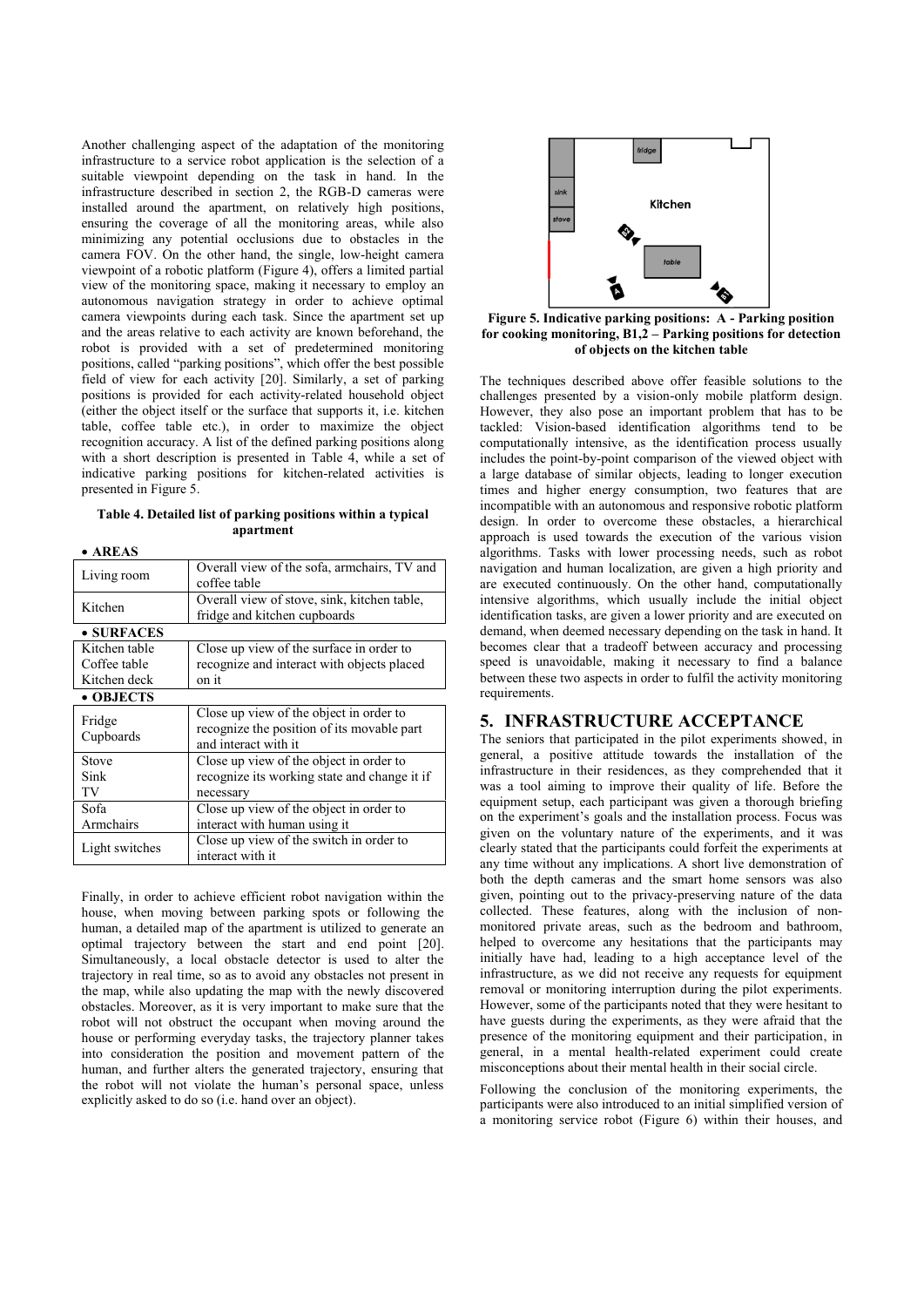Another challenging aspect of the adaptation of the monitoring infrastructure to a service robot application is the selection of a suitable viewpoint depending on the task in hand. In the infrastructure described in section 2, the RGB-D cameras were installed around the apartment, on relatively high positions, ensuring the coverage of all the monitoring areas, while also minimizing any potential occlusions due to obstacles in the camera FOV. On the other hand, the single, low-height camera viewpoint of a robotic platform (Figure 4), offers a limited partial view of the monitoring space, making it necessary to employ an autonomous navigation strategy in order to achieve optimal camera viewpoints during each task. Since the apartment set up and the areas relative to each activity are known beforehand, the robot is provided with a set of predetermined monitoring positions, called "parking positions", which offer the best possible field of view for each activity [20]. Similarly, a set of parking positions is provided for each activity-related household object (either the object itself or the surface that supports it, i.e. kitchen table, coffee table etc.), in order to maximize the object recognition accuracy. A list of the defined parking positions along with a short description is presented in Table 4, while a set of indicative parking positions for kitchen-related activities is presented in Figure 5.

#### **Table 4. Detailed list of parking positions within a typical apartment**

**AREAS**

| Living room                                   | Overall view of the sofa, armchairs, TV and<br>coffee table                                                   |  |
|-----------------------------------------------|---------------------------------------------------------------------------------------------------------------|--|
| Kitchen                                       | Overall view of stove, sink, kitchen table,<br>fridge and kitchen cupboards                                   |  |
| • SURFACES                                    |                                                                                                               |  |
| Kitchen table<br>Coffee table<br>Kitchen deck | Close up view of the surface in order to<br>recognize and interact with objects placed<br>on it               |  |
| • OBJECTS                                     |                                                                                                               |  |
| Fridge<br>Cupboards                           | Close up view of the object in order to<br>recognize the position of its movable part<br>and interact with it |  |
| <b>Stove</b><br>Sink<br>TV                    | Close up view of the object in order to<br>recognize its working state and change it if<br>necessary          |  |
| Sofa                                          | Close up view of the object in order to                                                                       |  |
| Armchairs                                     | interact with human using it                                                                                  |  |
| Light switches                                | Close up view of the switch in order to<br>interact with it                                                   |  |

Finally, in order to achieve efficient robot navigation within the house, when moving between parking spots or following the human, a detailed map of the apartment is utilized to generate an optimal trajectory between the start and end point [20]. Simultaneously, a local obstacle detector is used to alter the trajectory in real time, so as to avoid any obstacles not present in the map, while also updating the map with the newly discovered obstacles. Moreover, as it is very important to make sure that the robot will not obstruct the occupant when moving around the house or performing everyday tasks, the trajectory planner takes into consideration the position and movement pattern of the human, and further alters the generated trajectory, ensuring that the robot will not violate the human's personal space, unless explicitly asked to do so (i.e. hand over an object).



**Figure 5. Indicative parking positions: A - Parking position for cooking monitoring, B1,2 – Parking positions for detection of objects on the kitchen table**

The techniques described above offer feasible solutions to the challenges presented by a vision-only mobile platform design. However, they also pose an important problem that has to be tackled: Vision-based identification algorithms tend to be computationally intensive, as the identification process usually includes the point-by-point comparison of the viewed object with a large database of similar objects, leading to longer execution times and higher energy consumption, two features that are incompatible with an autonomous and responsive robotic platform design. In order to overcome these obstacles, a hierarchical approach is used towards the execution of the various vision algorithms. Tasks with lower processing needs, such as robot navigation and human localization, are given a high priority and are executed continuously. On the other hand, computationally intensive algorithms, which usually include the initial object identification tasks, are given a lower priority and are executed on demand, when deemed necessary depending on the task in hand. It becomes clear that a tradeoff between accuracy and processing speed is unavoidable, making it necessary to find a balance between these two aspects in order to fulfil the activity monitoring requirements.

## **5. INFRASTRUCTURE ACCEPTANCE**

The seniors that participated in the pilot experiments showed, in general, a positive attitude towards the installation of the infrastructure in their residences, as they comprehended that it was a tool aiming to improve their quality of life. Before the equipment setup, each participant was given a thorough briefing on the experiment's goals and the installation process. Focus was given on the voluntary nature of the experiments, and it was clearly stated that the participants could forfeit the experiments at any time without any implications. A short live demonstration of both the depth cameras and the smart home sensors was also given, pointing out to the privacy-preserving nature of the data collected. These features, along with the inclusion of non monitored private areas, such as the bedroom and bathroom, helped to overcome any hesitations that the participants may initially have had, leading to a high acceptance level of the infrastructure, as we did not receive any requests for equipment removal or monitoring interruption during the pilot experiments. However, some of the participants noted that they were hesitant to have guests during the experiments, as they were afraid that the presence of the monitoring equipment and their participation, in general, in a mental health-related experiment could create misconceptions about their mental health in their social circle.

Following the conclusion of the monitoring experiments, the participants were also introduced to an initial simplified version of a monitoring service robot (Figure 6) within their houses, and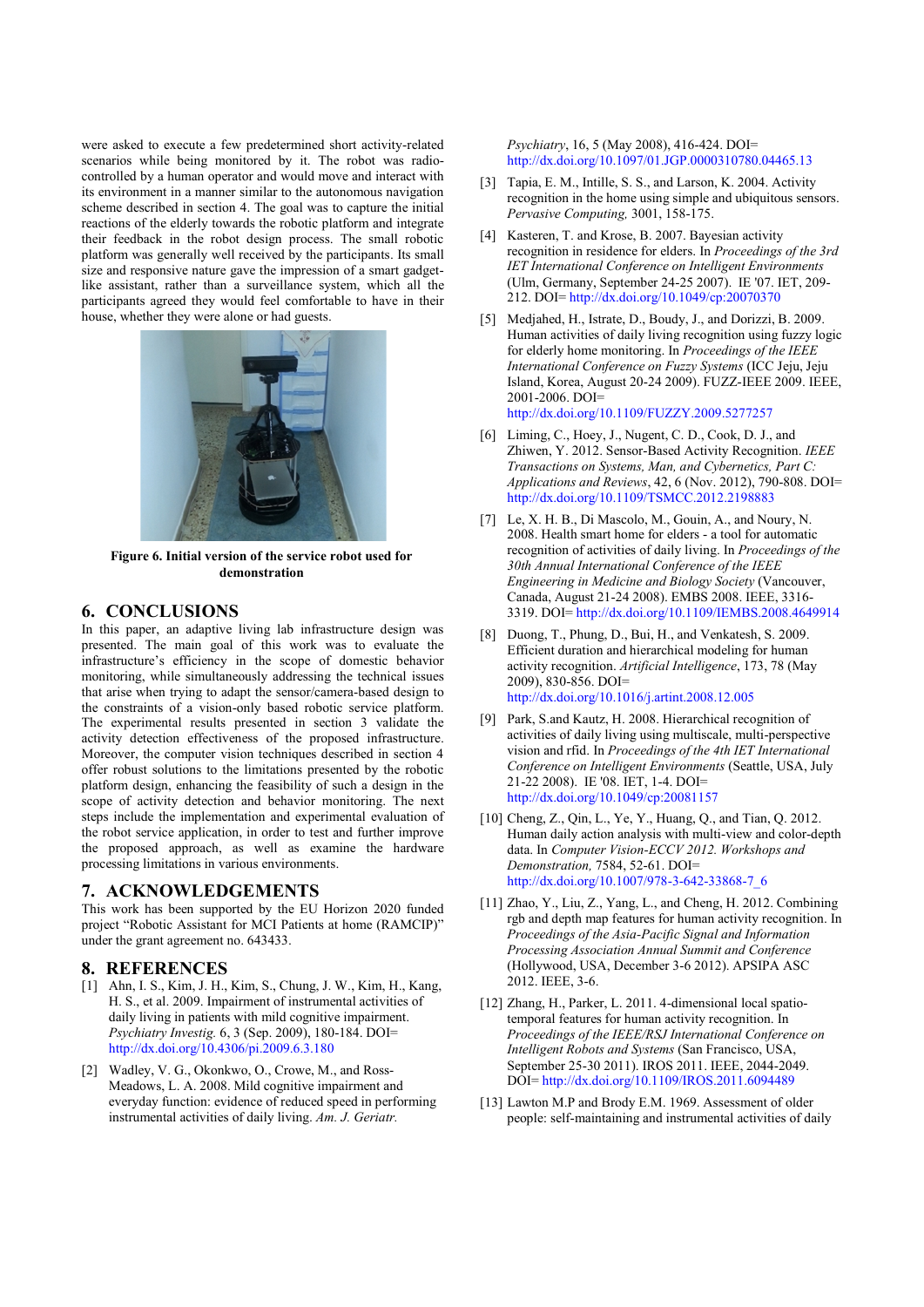were asked to execute a few predetermined short activity-related scenarios while being monitored by it. The robot was radio controlled by a human operator and would move and interact with its environment in a manner similar to the autonomous navigation scheme described in section 4. The goal was to capture the initial reactions of the elderly towards the robotic platform and integrate their feedback in the robot design process. The small robotic platform was generally well received by the participants. Its small size and responsive nature gave the impression of a smart gadgetlike assistant, rather than a surveillance system, which all the participants agreed they would feel comfortable to have in their house, whether they were alone or had guests.



**Figure 6. Initial version of the service robot used for demonstration**

## **6. CONCLUSIONS**

In this paper, an adaptive living lab infrastructure design was presented. The main goal of this work was to evaluate the infrastructure's efficiency in the scope of domestic behavior monitoring, while simultaneously addressing the technical issues that arise when trying to adapt the sensor/camera-based design to the constraints of a vision-only based robotic service platform. The experimental results presented in section 3 validate the activity detection effectiveness of the proposed infrastructure. Moreover, the computer vision techniques described in section 4 offer robust solutions to the limitations presented by the robotic platform design, enhancing the feasibility of such a design in the scope of activity detection and behavior monitoring. The next steps include the implementation and experimental evaluation of the robot service application, in order to test and further improve the proposed approach, as well as examine the hardware processing limitations in various environments.

## **7. ACKNOWLEDGEMENTS**

This work has been supported by the EU Horizon 2020 funded project "Robotic Assistant for MCI Patients at home (RAMCIP)" under the grant agreement no. 643433.

## **8. REFERENCES**

- [1] Ahn, I. S., Kim, J. H., Kim, S., Chung, J. W., Kim, H., Kang, H. S., et al. 2009. Impairment of instrumental activities of daily living in patients with mild cognitive impairment. *Psychiatry Investig.* 6, 3 (Sep. 2009), 180-184. DOI= http://dx.doi.org/10.4306/pi.2009.6.3.180
- [2] Wadley, V. G., Okonkwo, O., Crowe, M., and Ross- Meadows, L. A. 2008. Mild cognitive impairment and everyday function: evidence of reduced speed in performing instrumental activities of daily living. *Am. J. Geriatr.*

*Psychiatry*, 16, 5 (May 2008), 416-424. DOI= http://dx.doi.org/10.1097/01.JGP.0000310780.04465.13

- [3] Tapia, E. M., Intille, S. S., and Larson, K. 2004. Activity recognition in the home using simple and ubiquitous sensors. *Pervasive Computing,* 3001, 158-175.
- [4] Kasteren, T. and Krose, B. 2007. Bayesian activity recognition in residence for elders. In *Proceedings of the 3rd IET International Conference on Intelligent Environments* (Ulm, Germany, September 24-25 2007). IE '07. IET, 209- 212. DOI= http://dx.doi.org/10.1049/cp:20070370
- [5] Medjahed, H., Istrate, D., Boudy, J., and Dorizzi, B. 2009. Human activities of daily living recognition using fuzzy logic for elderly home monitoring. In *Proceedings of the IEEE International Conference on Fuzzy Systems* (ICC Jeju, Jeju Island, Korea, August 20-24 2009). FUZZ-IEEE 2009. IEEE, 2001-2006. DOI= http://dx.doi.org/10.1109/FUZZY.2009.5277257
- [6] Liming, C., Hoey, J., Nugent, C. D., Cook, D. J., and Zhiwen, Y. 2012. Sensor-Based Activity Recognition. *IEEE Transactions on Systems, Man, and Cybernetics, Part C: Applications and Reviews*, 42, 6 (Nov. 2012), 790-808. DOI= http://dx.doi.org/10.1109/TSMCC.2012.2198883
- [7] Le, X. H. B., Di Mascolo, M., Gouin, A., and Noury, N. 2008. Health smart home for elders - a tool for automatic recognition of activities of daily living. In *Proceedings of the 30th Annual International Conference of the IEEE Engineering in Medicine and Biology Society* (Vancouver, Canada, August 21-24 2008). EMBS 2008. IEEE, 3316- 3319. DOI= http://dx.doi.org/10.1109/IEMBS.2008.4649914
- [8] Duong, T., Phung, D., Bui, H., and Venkatesh, S. 2009. Efficient duration and hierarchical modeling for human activity recognition. *Artificial Intelligence*, 173, 78 (May 2009), 830-856. DOI= http://dx.doi.org/10.1016/j.artint.2008.12.005
- [9] Park, S.and Kautz, H. 2008. Hierarchical recognition of activities of daily living using multiscale, multi-perspective vision and rfid. In *Proceedings of the 4th IET International Conference on Intelligent Environments* (Seattle, USA, July 21-22 2008). IE '08. IET, 1-4. DOI= http://dx.doi.org/10.1049/cp:20081157
- [10] Cheng, Z., Qin, L., Ye, Y., Huang, Q., and Tian, Q. 2012. Human daily action analysis with multi-view and color-depth data. In *Computer Vision-ECCV 2012. Workshops and Demonstration,* 7584, 52-61. DOI= http://dx.doi.org/10.1007/978-3-642-33868-7\_6
- [11] Zhao, Y., Liu, Z., Yang, L., and Cheng, H. 2012. Combining rgb and depth map features for human activity recognition. In *Proceedings of the Asia-Pacific Signal and Information Processing Association Annual Summit and Conference* (Hollywood, USA, December 3-6 2012). APSIPA ASC 2012. IEEE, 3-6.
- [12] Zhang, H., Parker, L. 2011. 4-dimensional local spatiotemporal features for human activity recognition. In *Proceedings of the IEEE/RSJ International Conference on Intelligent Robots and Systems* (San Francisco, USA, September 25-30 2011). IROS 2011. IEEE, 2044-2049. DOI= http://dx.doi.org/10.1109/IROS.2011.6094489
- [13] Lawton M.P and Brody E.M. 1969. Assessment of older people: self-maintaining and instrumental activities of daily